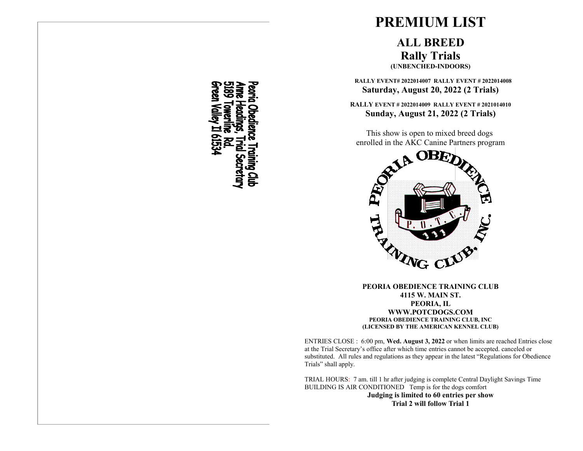

# **PREMIUM LIST**

**ALL BREED Rally Trials (UNBENCHED-INDOORS)**

 **RALLY EVENT# 2022014007 RALLY EVENT # 2022014008 Saturday, August 20, 2022 (2 Trials)**

**RALLY EVENT # 2022014009 RALLY EVENT # 2021014010 Sunday, August 21, 2022 (2 Trials)**

This show is open to mixed breed dogs



**PEORIA OBEDIENCE TRAINING CLUB 4115 W. MAIN ST. PEORIA, IL WWW.POTCDOGS.COM PEORIA OBEDIENCE TRAINING CLUB, INC (LICENSED BY THE AMERICAN KENNEL CLUB)**

ENTRIES CLOSE : 6:00 pm, **Wed. August 3, 2022** or when limits are reached Entries close at the Trial Secretary's office after which time entries cannot be accepted. canceled or substituted. All rules and regulations as they appear in the latest "Regulations for Obedience Trials" shall apply.

TRIAL HOURS: 7 am. till 1 hr after judging is complete Central Daylight Savings Time BUILDING IS AIR CONDITIONED Temp is for the dogs comfort **Judging is limited to 60 entries per show Trial 2 will follow Trial 1**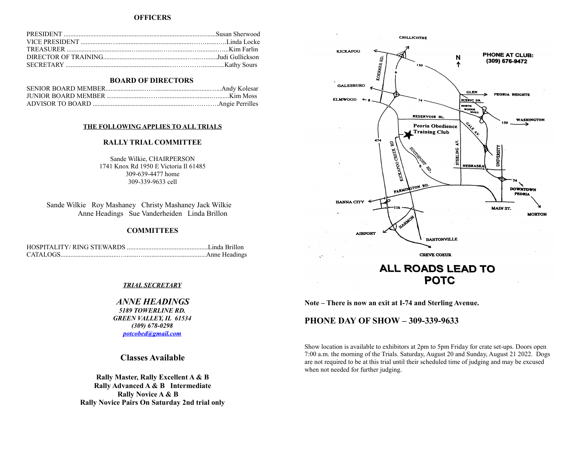#### **OFFICERS**

#### **BOARD OF DIRECTORS**

#### **THE FOLLOWING APPLIES TO ALL TRIALS**

#### **RALLY TRIAL COMMITTEE**

Sande Wilkie, CHAIRPERSON 1741 Knox Rd 1950 E Victoria Il 61485 309-639-4477 home 309-339-9633 cell

Sande Wilkie Roy Mashaney Christy Mashaney Jack Wilkie Anne Headings Sue Vanderheiden Linda Brillon

#### **COMMITTEES**

#### *TRIAL SECRETARY*

*ANNE HEADINGS 5189 TOWERLINE RD. GREEN VALLEY, IL 61534 (309) 678-0298 [potcobed@gmail.com](mailto:potcobed@gmail.com)*

**Classes Available**

**Rally Master, Rally Excellent A & B Rally Advanced A & B Intermediate Rally Novice A & B Rally Novice Pairs On Saturday 2nd trial only**



**Note – There is now an exit at I-74 and Sterling Avenue.**

## **PHONE DAY OF SHOW – 309-339-9633**

Show location is available to exhibitors at 2pm to 5pm Friday for crate set-ups. Doors open 7:00 a.m. the morning of the Trials. Saturday, August 20 and Sunday, August 21 2022. Dogs are not required to be at this trial until their scheduled time of judging and may be excused when not needed for further judging.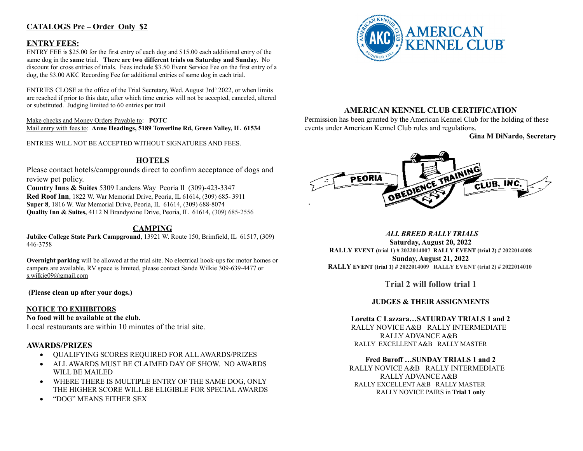# **CATALOGS Pre – Order Only \$2**

## **ENTRY FEES:**

ENTRY FEE is \$25.00 for the first entry of each dog and \$15.00 each additional entry of the same dog in the **same** trial. **There are two different trials on Saturday and Sunday**. No discount for cross entries of trials. Fees include \$3.50 Event Service Fee on the first entry of a dog, the \$3.00 AKC Recording Fee for additional entries of same dog in each trial.

ENTRIES CLOSE at the office of the Trial Secretary, Wed. August 3rd<sup>h</sup> 2022, or when limits are reached if prior to this date, after which time entries will not be accepted, canceled, altered or substituted. Judging limited to 60 entries per trail

Make checks and Money Orders Payable to: **POTC** Mail entry with fees to: **Anne Headings, 5189 Towerline Rd, Green Valley, IL 61534**

ENTRIES WILL NOT BE ACCEPTED WITHOUT SIGNATURES AND FEES.

# **HOTELS**

Please contact hotels/campgrounds direct to confirm acceptance of dogs and review pet policy.

**Country Inns & Suites** 5309 Landens Way Peoria Il (309)-423-3347 **Red Roof Inn**, 1822 W. War Memorial Drive, Peoria, IL 61614, (309) 685- 3911 **Super 8**, 1816 W. War Memorial Drive, Peoria, IL 61614, (309) 688-8074 **Quality Inn & Suites,** 4112 N Brandywine Drive, Peoria, IL 61614, (309) 685-2556

## **CAMPING**

**Jubilee College State Park Campground**, 13921 W. Route 150, Brimfield, IL 61517, (309) 446-3758

**Overnight parking** will be allowed at the trial site. No electrical hook-ups for motor homes or campers are available. RV space is limited, please contact Sande Wilkie 309-639-4477 or [s.wilkie09@gmail.com](mailto:s.wilkie09@gmail.com)

 **(Please clean up after your dogs.)**

## **NOTICE TO EXHIBITORS**

**No food will be available at the club.** 

Local restaurants are within 10 minutes of the trial site.

#### **AWARDS/PRIZES**

- QUALIFYING SCORES REQUIRED FOR ALL AWARDS/PRIZES
- ALL AWARDS MUST BE CLAIMED DAY OF SHOW. NO AWARDS WILL BE MAILED
- WHERE THERE IS MULTIPLE ENTRY OF THE SAME DOG, ONLY THE HIGHER SCORE WILL BE ELIGIBLE FOR SPECIAL AWARDS
- "DOG" MEANS EITHER SEX



## **AMERICAN KENNEL CLUB CERTIFICATION**

Permission has been granted by the American Kennel Club for the holding of these events under American Kennel Club rules and regulations.

**Gina M DiNardo, Secretary**



 *ALL BREED RALLY TRIALS* **Saturday, August 20, 2022 RALLY EVENT (trial 1) # 2022014007 RALLY EVENT (trial 2) # 2022014008 Sunday, August 21, 2022 RALLY EVENT (trial 1) # 2022014009 RALLY EVENT (trial 2) # 2022014010**

**Trial 2 will follow trial 1**

## **JUDGES & THEIR ASSIGNMENTS**

## **Loretta C Lazzara…SATURDAY TRIALS 1 and 2**

RALLY NOVICE A&B RALLY INTERMEDIATE RALLY ADVANCE A&B RALLY EXCELLENT A&B RALLY MASTER

**Fred Buroff …SUNDAY TRIALS 1 and 2**

RALLY NOVICE A&B RALLY INTERMEDIATE RALLY ADVANCE A&B RALLY EXCELLENT A&B RALLY MASTER RALLY NOVICE PAIRS in **Trial 1 only**